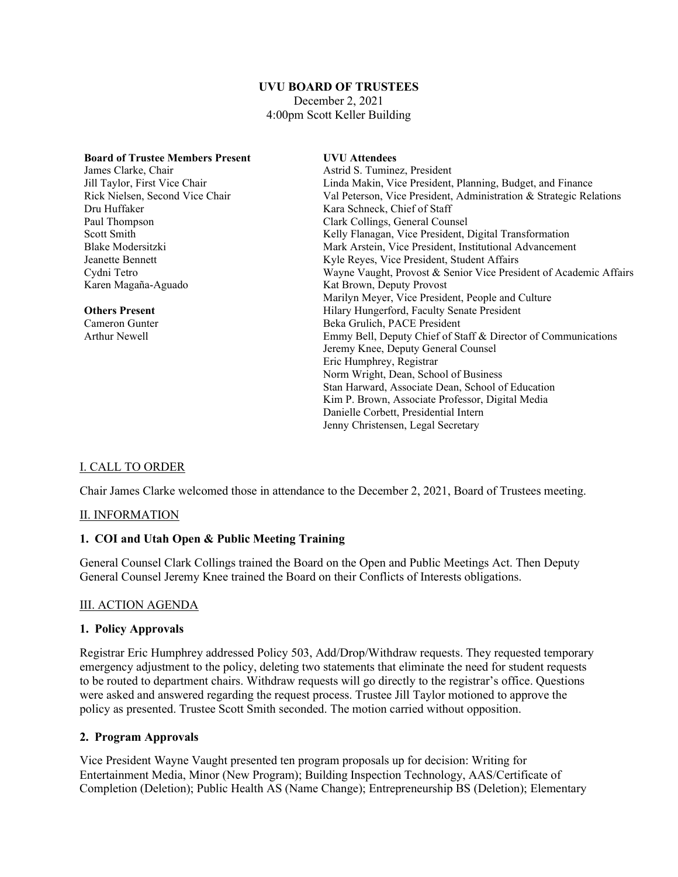# **UVU BOARD OF TRUSTEES**

December 2, 2021 4:00pm Scott Keller Building

| <b>Board of Trustee Members Present</b> | <b>UVU</b> Attendees                                               |
|-----------------------------------------|--------------------------------------------------------------------|
| James Clarke, Chair                     | Astrid S. Tuminez, President                                       |
| Jill Taylor, First Vice Chair           | Linda Makin, Vice President, Planning, Budget, and Finance         |
| Rick Nielsen, Second Vice Chair         | Val Peterson, Vice President, Administration & Strategic Relations |
| Dru Huffaker                            | Kara Schneck, Chief of Staff                                       |
| Paul Thompson                           | Clark Collings, General Counsel                                    |
| Scott Smith                             | Kelly Flanagan, Vice President, Digital Transformation             |
| Blake Modersitzki                       | Mark Arstein, Vice President, Institutional Advancement            |
| Jeanette Bennett                        | Kyle Reyes, Vice President, Student Affairs                        |
| Cydni Tetro                             | Wayne Vaught, Provost & Senior Vice President of Academic Affairs  |
| Karen Magaña-Aguado                     | Kat Brown, Deputy Provost                                          |
|                                         | Marilyn Meyer, Vice President, People and Culture                  |
| <b>Others Present</b>                   | Hilary Hungerford, Faculty Senate President                        |
| Cameron Gunter                          | Beka Grulich, PACE President                                       |
| Arthur Newell                           | Emmy Bell, Deputy Chief of Staff & Director of Communications      |
|                                         | Jeremy Knee, Deputy General Counsel                                |
|                                         | Eric Humphrey, Registrar                                           |
|                                         | Norm Wright, Dean, School of Business                              |
|                                         | Stan Harward, Associate Dean, School of Education                  |
|                                         | Kim P. Brown, Associate Professor, Digital Media                   |
|                                         | Danielle Corbett, Presidential Intern                              |
|                                         | Jenny Christensen, Legal Secretary                                 |

# I. CALL TO ORDER

Chair James Clarke welcomed those in attendance to the December 2, 2021, Board of Trustees meeting.

### II. INFORMATION

### **1. COI and Utah Open & Public Meeting Training**

General Counsel Clark Collings trained the Board on the Open and Public Meetings Act. Then Deputy General Counsel Jeremy Knee trained the Board on their Conflicts of Interests obligations.

### III. ACTION AGENDA

#### **1. Policy Approvals**

Registrar Eric Humphrey addressed Policy 503, Add/Drop/Withdraw requests. They requested temporary emergency adjustment to the policy, deleting two statements that eliminate the need for student requests to be routed to department chairs. Withdraw requests will go directly to the registrar's office. Questions were asked and answered regarding the request process. Trustee Jill Taylor motioned to approve the policy as presented. Trustee Scott Smith seconded. The motion carried without opposition.

### **2. Program Approvals**

Vice President Wayne Vaught presented ten program proposals up for decision: Writing for Entertainment Media, Minor (New Program); Building Inspection Technology, AAS/Certificate of Completion (Deletion); Public Health AS (Name Change); Entrepreneurship BS (Deletion); Elementary